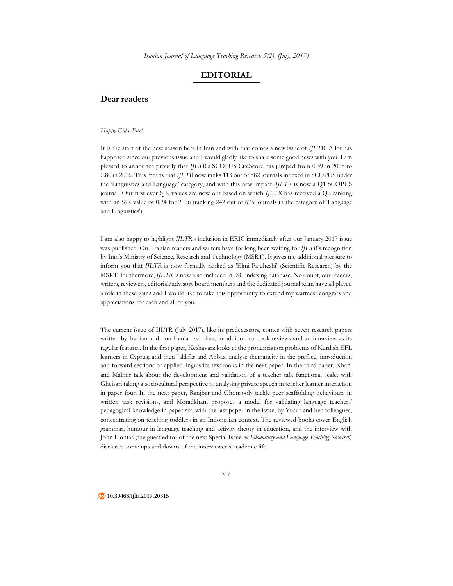*Iranian Journal of Language Teaching Research 5(2), (July, 2017)*

## **EDITORIAL**

## **Dear readers**

## *Happy Eid-e-Fitr!*

It is the start of the new season here in Iran and with that comes a new issue of *IJLTR*. A lot has happened since our previous issue and I would gladly like to share some good news with you. I am pleased to announce proudly that *IJLTR*'s SCOPUS CiteScore has jumped from 0.39 in 2015 to 0.80 in 2016. This means that *IJLTR* now ranks 113 out of 582 journals indexed in SCOPUS under the 'Linguistics and Language' category, and with this new impact, *IJLTR* is now a Q1 SCOPUS journal. Our first ever SJR values are now out based on which *IJLTR* has received a Q2 ranking with an SJR value of 0.24 for 2016 (ranking 242 out of 675 journals in the category of 'Language and Linguistics').

I am also happy to highlight *IJLTR*'s inclusion in ERIC immediately after our January 2017 issue was published. Our Iranian readers and writers have for long been waiting for *IJLTR*'s recognition by Iran's Ministry of Science, Research and Technology (MSRT). It gives me additional pleasure to inform you that *IJLTR* is now formally ranked as 'Elmi-Pajuheshi' (Scientific-Research) by the MSRT. Furthermore, *IJLTR* is now also included in ISC indexing database. No doubt, our readers, writers, reviewers, editorial/advisory board members and the dedicated journal team have all played a role in these gains and I would like to take this opportunity to extend my warmest congrats and appreciations for each and all of you.

The current issue of IJLTR (July 2017), like its predecessors, comes with seven research papers written by Iranian and non-Iranian scholars, in addition to book reviews and an interview as its regular features. In the first paper, Keshavarz looks at the pronunciation problems of Kurdish EFL learners in Cyprus; and then Jalilifar and Abbasi analyse thematicity in the preface, introduction and forward sections of applied linguistics textbooks in the next paper. In the third paper, Khani and Malmir talk about the development and validation of a teacher talk functional scale, with Gheisari taking a sociocultural perspective to analysing private speech in teacher learner interaction in paper four. In the next paper, Ranjbar and Ghonsooly tackle peer scaffolding behaviours in written task revisions, and Moradkhani proposes a model for validating language teachers' pedagogical knowledge in paper six, with the last paper in the issue, by Yusuf and her colleagues, concentrating on teaching toddlers in an Indonesian context. The reviewed books cover English grammar, humour in language teaching and activity theory in education, and the interview with John Liontas (the guest editor of the next Special Issue *on Idiomaticty and Language Teaching Research*) discusses some ups and downs of the interviewee's academic life.

10.30466/ijltr.2017.20315